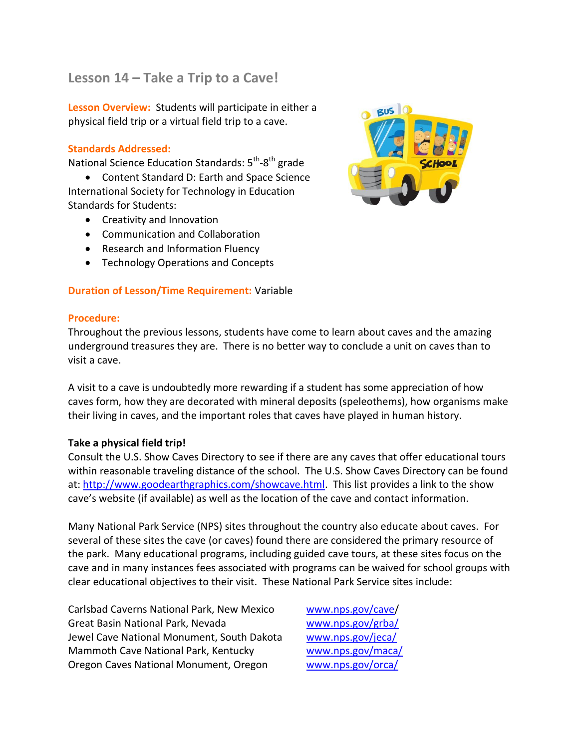# **Lesson 14 – Take a Trip to a Cave!**

**Lesson Overview:** Students will participate in either a physical field trip or a virtual field trip to a cave.

# **Standards Addressed:**

National Science Education Standards: 5<sup>th</sup>-8<sup>th</sup> grade

 Content Standard D: Earth and Space Science International Society for Technology in Education Standards for Students:

- **•** Creativity and Innovation
- Communication and Collaboration
- Research and Information Fluency
- Technology Operations and Concepts

#### **Duration of Lesson/Time Requirement:** Variable

### **Procedure:**

Throughout the previous lessons, students have come to learn about caves and the amazing underground treasures they are. There is no better way to conclude a unit on caves than to visit a cave.

A visit to a cave is undoubtedly more rewarding if a student has some appreciation of how caves form, how they are decorated with mineral deposits (speleothems), how organisms make their living in caves, and the important roles that caves have played in human history.

#### **Take a physical field trip!**

Consult the U.S. Show Caves Directory to see if there are any caves that offer educational tours within reasonable traveling distance of the school. The U.S. Show Caves Directory can be found at[: http://www.goodearthgraphics.com/showcave.html.](http://www.goodearthgraphics.com/showcave.html) This list provides a link to the show cave's website (if available) as well as the location of the cave and contact information.

Many National Park Service (NPS) sites throughout the country also educate about caves. For several of these sites the cave (or caves) found there are considered the primary resource of the park. Many educational programs, including guided cave tours, at these sites focus on the cave and in many instances fees associated with programs can be waived for school groups with clear educational objectives to their visit. These National Park Service sites include:

Carlsbad Caverns National Park, New Mexico [www.nps.gov/cave/](http://www.nps.gov/cave) Great Basin National Park, Nevada [www.nps.gov/grba/](http://www.nps.gov/grba/) Jewel Cave National Monument, South Dakota [www.nps.gov/jeca/](http://www.nps.gov/jeca/) Mammoth Cave National Park, Kentucky [www.nps.gov/maca/](http://www.nps.gov/maca/) Oregon Caves National Monument, Oregon [www.nps.gov/orca/](http://www.nps.gov/orca/)

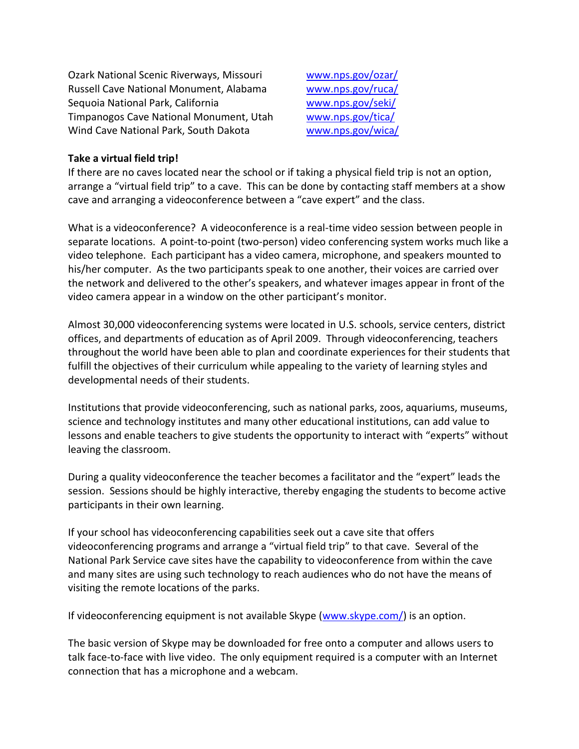Ozark National Scenic Riverways, Missouri [www.nps.gov/ozar/](http://www.nps.gov/ozar/) Russell Cave National Monument, Alabama [www.nps.gov/ruca/](http://www.nps.gov/ruca/) Sequoia National Park, California [www.nps.gov/seki/](http://www.nps.gov/seki/) Timpanogos Cave National Monument, Utah [www.nps.gov/tica/](http://www.nps.gov/tica/) Wind Cave National Park, South Dakota [www.nps.gov/wica/](http://www.nps.gov/wica/)

### **Take a virtual field trip!**

If there are no caves located near the school or if taking a physical field trip is not an option, arrange a "virtual field trip" to a cave. This can be done by contacting staff members at a show cave and arranging a videoconference between a "cave expert" and the class.

What is a videoconference? A videoconference is a real-time video session between people in separate locations. A point-to-point (two-person) video conferencing system works much like a video telephone. Each participant has a video camera, microphone, and speakers mounted to his/her computer. As the two participants speak to one another, their voices are carried over the network and delivered to the other's speakers, and whatever images appear in front of the video camera appear in a window on the other participant's monitor.

Almost 30,000 videoconferencing systems were located in U.S. schools, service centers, district offices, and departments of education as of April 2009. Through videoconferencing, teachers throughout the world have been able to plan and coordinate experiences for their students that fulfill the objectives of their curriculum while appealing to the variety of learning styles and developmental needs of their students.

Institutions that provide videoconferencing, such as national parks, zoos, aquariums, museums, science and technology institutes and many other educational institutions, can add value to lessons and enable teachers to give students the opportunity to interact with "experts" without leaving the classroom.

During a quality videoconference the teacher becomes a facilitator and the "expert" leads the session. Sessions should be highly interactive, thereby engaging the students to become active participants in their own learning.

If your school has videoconferencing capabilities seek out a cave site that offers videoconferencing programs and arrange a "virtual field trip" to that cave. Several of the National Park Service cave sites have the capability to videoconference from within the cave and many sites are using such technology to reach audiences who do not have the means of visiting the remote locations of the parks.

If videoconferencing equipment is not available Skype [\(www.skype.com/\)](http://www.skype.com/) is an option.

The basic version of Skype may be downloaded for free onto a computer and allows users to talk face-to-face with live video. The only equipment required is a computer with an Internet connection that has a microphone and a webcam.